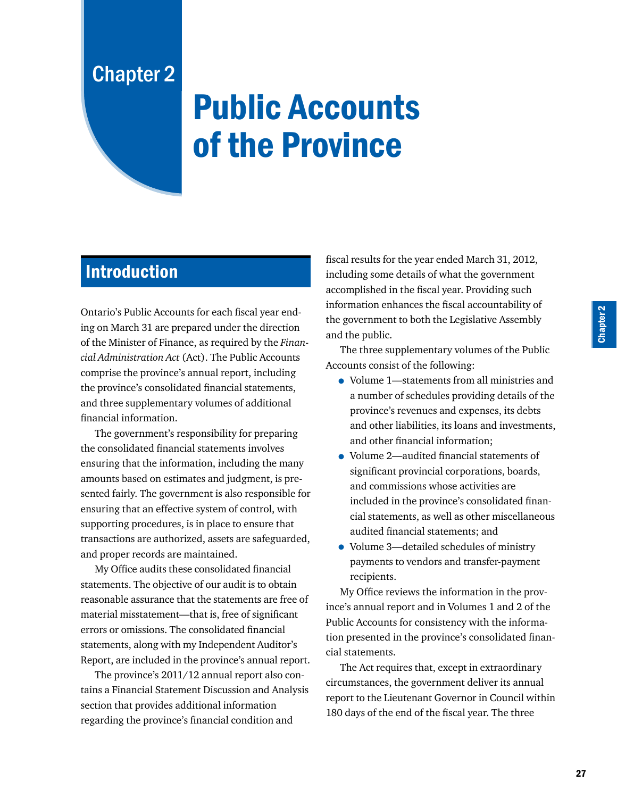# Chapter 2

# Public Accounts of the Province

# Introduction

Ontario's Public Accounts for each fiscal year ending on March 31 are prepared under the direction of the Minister of Finance, as required by the *Financial Administration Act* (Act). The Public Accounts comprise the province's annual report, including the province's consolidated financial statements, and three supplementary volumes of additional financial information.

The government's responsibility for preparing the consolidated financial statements involves ensuring that the information, including the many amounts based on estimates and judgment, is presented fairly. The government is also responsible for ensuring that an effective system of control, with supporting procedures, is in place to ensure that transactions are authorized, assets are safeguarded, and proper records are maintained.

My Office audits these consolidated financial statements. The objective of our audit is to obtain reasonable assurance that the statements are free of material misstatement—that is, free of significant errors or omissions. The consolidated financial statements, along with my Independent Auditor's Report, are included in the province's annual report.

The province's 2011/12 annual report also contains a Financial Statement Discussion and Analysis section that provides additional information regarding the province's financial condition and

fiscal results for the year ended March 31, 2012, including some details of what the government accomplished in the fiscal year. Providing such information enhances the fiscal accountability of the government to both the Legislative Assembly and the public.

The three supplementary volumes of the Public Accounts consist of the following:

- Volume 1—statements from all ministries and a number of schedules providing details of the province's revenues and expenses, its debts and other liabilities, its loans and investments, and other financial information;
- Volume 2—audited financial statements of significant provincial corporations, boards, and commissions whose activities are included in the province's consolidated financial statements, as well as other miscellaneous audited financial statements; and
- Volume 3—detailed schedules of ministry payments to vendors and transfer-payment recipients.

My Office reviews the information in the province's annual report and in Volumes 1 and 2 of the Public Accounts for consistency with the information presented in the province's consolidated financial statements.

The Act requires that, except in extraordinary circumstances, the government deliver its annual report to the Lieutenant Governor in Council within 180 days of the end of the fiscal year. The three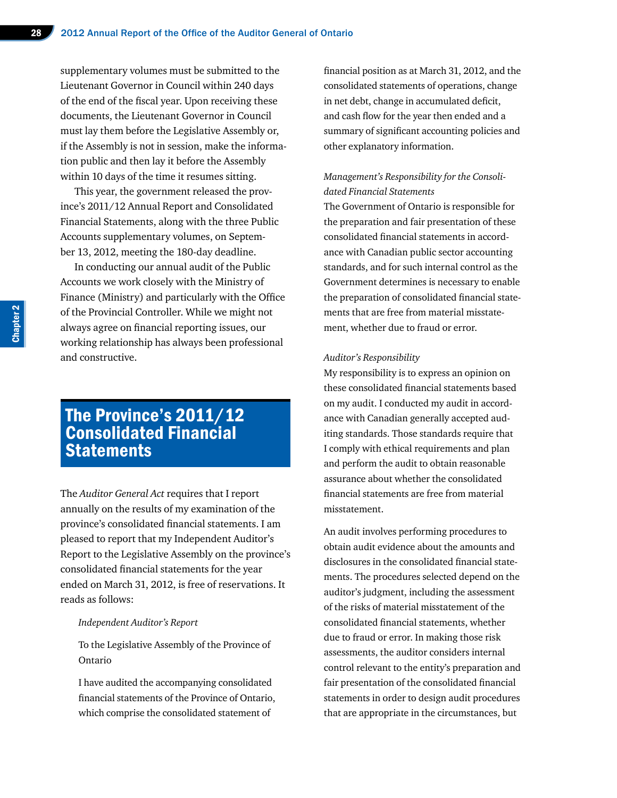supplementary volumes must be submitted to the Lieutenant Governor in Council within 240 days of the end of the fiscal year. Upon receiving these documents, the Lieutenant Governor in Council must lay them before the Legislative Assembly or, if the Assembly is not in session, make the information public and then lay it before the Assembly within 10 days of the time it resumes sitting.

This year, the government released the province's 2011/12 Annual Report and Consolidated Financial Statements, along with the three Public Accounts supplementary volumes, on September 13, 2012, meeting the 180-day deadline.

In conducting our annual audit of the Public Accounts we work closely with the Ministry of Finance (Ministry) and particularly with the Office of the Provincial Controller. While we might not always agree on financial reporting issues, our working relationship has always been professional and constructive.

## The Province's 2011/12 Consolidated Financial **Statements**

The *Auditor General Act* requires that I report annually on the results of my examination of the province's consolidated financial statements. I am pleased to report that my Independent Auditor's Report to the Legislative Assembly on the province's consolidated financial statements for the year ended on March 31, 2012, is free of reservations. It reads as follows:

#### *Independent Auditor's Report*

To the Legislative Assembly of the Province of Ontario

I have audited the accompanying consolidated financial statements of the Province of Ontario, which comprise the consolidated statement of

financial position as at March 31, 2012, and the consolidated statements of operations, change in net debt, change in accumulated deficit, and cash flow for the year then ended and a summary of significant accounting policies and other explanatory information.

#### *Management's Responsibility for the Consolidated Financial Statements*

The Government of Ontario is responsible for the preparation and fair presentation of these consolidated financial statements in accordance with Canadian public sector accounting standards, and for such internal control as the Government determines is necessary to enable the preparation of consolidated financial statements that are free from material misstatement, whether due to fraud or error.

#### *Auditor's Responsibility*

My responsibility is to express an opinion on these consolidated financial statements based on my audit. I conducted my audit in accordance with Canadian generally accepted auditing standards. Those standards require that I comply with ethical requirements and plan and perform the audit to obtain reasonable assurance about whether the consolidated financial statements are free from material misstatement.

An audit involves performing procedures to obtain audit evidence about the amounts and disclosures in the consolidated financial statements. The procedures selected depend on the auditor's judgment, including the assessment of the risks of material misstatement of the consolidated financial statements, whether due to fraud or error. In making those risk assessments, the auditor considers internal control relevant to the entity's preparation and fair presentation of the consolidated financial statements in order to design audit procedures that are appropriate in the circumstances, but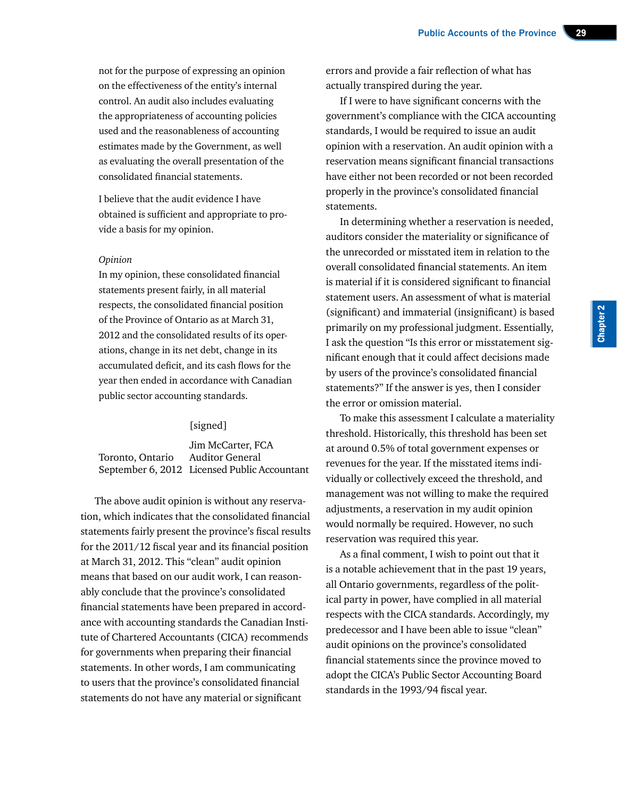not for the purpose of expressing an opinion on the effectiveness of the entity's internal control. An audit also includes evaluating the appropriateness of accounting policies used and the reasonableness of accounting estimates made by the Government, as well as evaluating the overall presentation of the consolidated financial statements.

I believe that the audit evidence I have obtained is sufficient and appropriate to provide a basis for my opinion.

#### *Opinion*

In my opinion, these consolidated financial statements present fairly, in all material respects, the consolidated financial position of the Province of Ontario as at March 31, 2012 and the consolidated results of its operations, change in its net debt, change in its accumulated deficit, and its cash flows for the year then ended in accordance with Canadian public sector accounting standards.

#### [signed]

Jim McCarter, FCA Toronto, Ontario Auditor General September 6, 2012 Licensed Public Accountant

The above audit opinion is without any reservation, which indicates that the consolidated financial statements fairly present the province's fiscal results for the 2011/12 fiscal year and its financial position at March 31, 2012. This "clean" audit opinion means that based on our audit work, I can reasonably conclude that the province's consolidated financial statements have been prepared in accordance with accounting standards the Canadian Institute of Chartered Accountants (CICA) recommends for governments when preparing their financial statements. In other words, I am communicating to users that the province's consolidated financial statements do not have any material or significant

errors and provide a fair reflection of what has actually transpired during the year.

If I were to have significant concerns with the government's compliance with the CICA accounting standards, I would be required to issue an audit opinion with a reservation. An audit opinion with a reservation means significant financial transactions have either not been recorded or not been recorded properly in the province's consolidated financial statements.

In determining whether a reservation is needed, auditors consider the materiality or significance of the unrecorded or misstated item in relation to the overall consolidated financial statements. An item is material if it is considered significant to financial statement users. An assessment of what is material (significant) and immaterial (insignificant) is based primarily on my professional judgment. Essentially, I ask the question "Is this error or misstatement significant enough that it could affect decisions made by users of the province's consolidated financial statements?" If the answer is yes, then I consider the error or omission material.

To make this assessment I calculate a materiality threshold. Historically, this threshold has been set at around 0.5% of total government expenses or revenues for the year. If the misstated items individually or collectively exceed the threshold, and management was not willing to make the required adjustments, a reservation in my audit opinion would normally be required. However, no such reservation was required this year.

As a final comment, I wish to point out that it is a notable achievement that in the past 19 years, all Ontario governments, regardless of the political party in power, have complied in all material respects with the CICA standards. Accordingly, my predecessor and I have been able to issue "clean" audit opinions on the province's consolidated financial statements since the province moved to adopt the CICA's Public Sector Accounting Board standards in the 1993/94 fiscal year.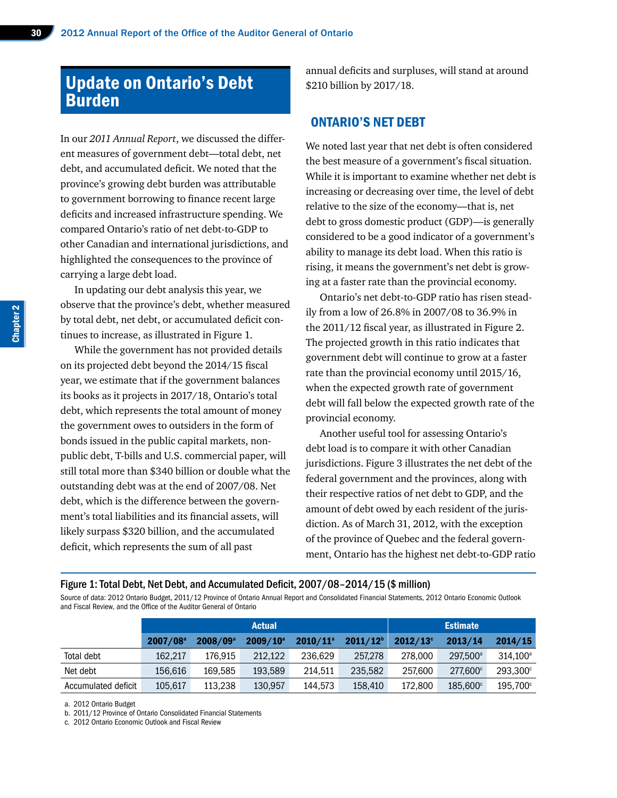# Update on Ontario's Debt Burden

In our *2011 Annual Report*, we discussed the different measures of government debt—total debt, net debt, and accumulated deficit. We noted that the province's growing debt burden was attributable to government borrowing to finance recent large deficits and increased infrastructure spending. We compared Ontario's ratio of net debt-to-GDP to other Canadian and international jurisdictions, and highlighted the consequences to the province of carrying a large debt load.

In updating our debt analysis this year, we observe that the province's debt, whether measured by total debt, net debt, or accumulated deficit continues to increase, as illustrated in Figure 1.

While the government has not provided details on its projected debt beyond the 2014/15 fiscal year, we estimate that if the government balances its books as it projects in 2017/18, Ontario's total debt, which represents the total amount of money the government owes to outsiders in the form of bonds issued in the public capital markets, nonpublic debt, T-bills and U.S. commercial paper, will still total more than \$340 billion or double what the outstanding debt was at the end of 2007/08. Net debt, which is the difference between the government's total liabilities and its financial assets, will likely surpass \$320 billion, and the accumulated deficit, which represents the sum of all past

annual deficits and surpluses, will stand at around \$210 billion by 2017/18.

#### ONTARIO'S NET DEBT

We noted last year that net debt is often considered the best measure of a government's fiscal situation. While it is important to examine whether net debt is increasing or decreasing over time, the level of debt relative to the size of the economy—that is, net debt to gross domestic product (GDP)—is generally considered to be a good indicator of a government's ability to manage its debt load. When this ratio is rising, it means the government's net debt is growing at a faster rate than the provincial economy.

Ontario's net debt-to-GDP ratio has risen steadily from a low of 26.8% in 2007/08 to 36.9% in the 2011/12 fiscal year, as illustrated in Figure 2. The projected growth in this ratio indicates that government debt will continue to grow at a faster rate than the provincial economy until 2015/16, when the expected growth rate of government debt will fall below the expected growth rate of the provincial economy.

Another useful tool for assessing Ontario's debt load is to compare it with other Canadian jurisdictions. Figure 3 illustrates the net debt of the federal government and the provinces, along with their respective ratios of net debt to GDP, and the amount of debt owed by each resident of the jurisdiction. As of March 31, 2012, with the exception of the province of Quebec and the federal government, Ontario has the highest net debt-to-GDP ratio

#### Figure 1: Total Debt, Net Debt, and Accumulated Deficit, 2007/08–2014/15 (\$ million)

Source of data: 2012 Ontario Budget, 2011/12 Province of Ontario Annual Report and Consolidated Financial Statements, 2012 Ontario Economic Outlook and Fiscal Review, and the Office of the Auditor General of Ontario

|                     | <b>Actual</b>          |                        |             |             | <b>Estimate</b>      |             |                      |                   |
|---------------------|------------------------|------------------------|-------------|-------------|----------------------|-------------|----------------------|-------------------|
|                     | $2007/08$ <sup>a</sup> | $2008/09$ <sup>a</sup> | $2009/10^a$ | $2010/11^a$ | 2011/12 <sup>b</sup> | $2012/13$ ° | 2013/14              | 2014/15           |
| Total debt          | 162.217                | 176.915                | 212.122     | 236.629     | 257.278              | 278,000     | 297.500 <sup>a</sup> | $314.100^{\circ}$ |
| Net debt            | 156.616                | 169.585                | 193.589     | 214.511     | 235,582              | 257,600     | 277,600°             | 293,300°          |
| Accumulated deficit | 105.617                | 113.238                | 130.957     | 144.573     | 158,410              | 172,800     | $185.600^{\circ}$    | 195.700°          |

a. 2012 Ontario Budget

b. 2011/12 Province of Ontario Consolidated Financial Statements

c. 2012 Ontario Economic Outlook and Fiscal Review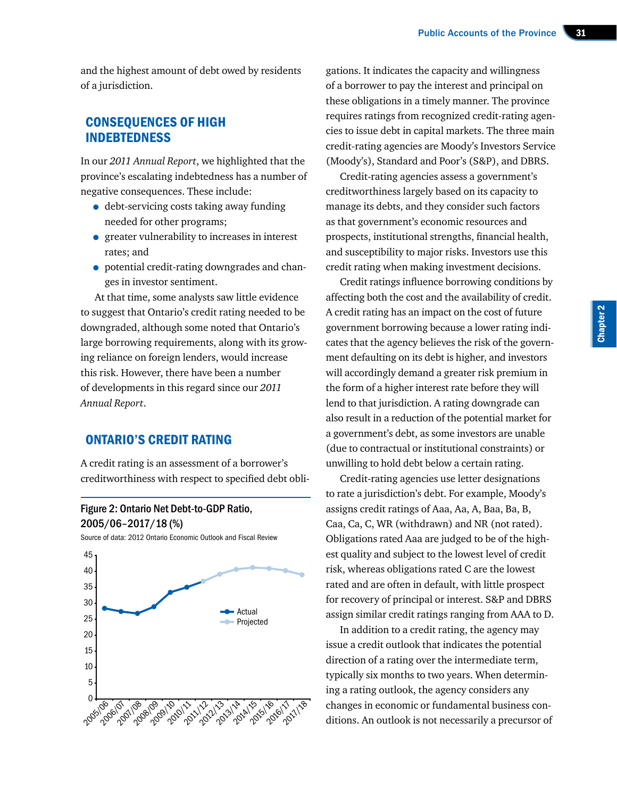and the highest amount of debt owed by residents of a jurisdiction.

## CONSEQUENCES OF HIGH INDEBTEDNESS

In our *2011 Annual Report*, we highlighted that the province's escalating indebtedness has a number of negative consequences. These include:

- debt-servicing costs taking away funding needed for other programs;
- greater vulnerability to increases in interest rates; and
- potential credit-rating downgrades and changes in investor sentiment.

At that time, some analysts saw little evidence to suggest that Ontario's credit rating needed to be downgraded, although some noted that Ontario's large borrowing requirements, along with its growing reliance on foreign lenders, would increase this risk. However, there have been a number of developments in this regard since our *2011 Annual Report*.

#### ONTARIO'S CREDIT RATING

A credit rating is an assessment of a borrower's creditworthiness with respect to specified debt obli-

#### Figure 2: Ontario Net Debt-to-GDP Ratio, 2005/06–2017/18 (%)

Source of data: 2012 Ontario Economic Outlook and Fiscal Review



gations. It indicates the capacity and willingness of a borrower to pay the interest and principal on these obligations in a timely manner. The province requires ratings from recognized credit-rating agencies to issue debt in capital markets. The three main credit-rating agencies are Moody's Investors Service (Moody's), Standard and Poor's (S&P), and DBRS.

Credit-rating agencies assess a government's creditworthiness largely based on its capacity to manage its debts, and they consider such factors as that government's economic resources and prospects, institutional strengths, financial health, and susceptibility to major risks. Investors use this credit rating when making investment decisions.

Credit ratings influence borrowing conditions by affecting both the cost and the availability of credit. A credit rating has an impact on the cost of future government borrowing because a lower rating indicates that the agency believes the risk of the government defaulting on its debt is higher, and investors will accordingly demand a greater risk premium in the form of a higher interest rate before they will lend to that jurisdiction. A rating downgrade can also result in a reduction of the potential market for a government's debt, as some investors are unable (due to contractual or institutional constraints) or unwilling to hold debt below a certain rating.

Credit-rating agencies use letter designations to rate a jurisdiction's debt. For example, Moody's assigns credit ratings of Aaa, Aa, A, Baa, Ba, B, Caa, Ca, C, WR (withdrawn) and NR (not rated). Obligations rated Aaa are judged to be of the highest quality and subject to the lowest level of credit risk, whereas obligations rated C are the lowest rated and are often in default, with little prospect for recovery of principal or interest. S&P and DBRS assign similar credit ratings ranging from AAA to D.

In addition to a credit rating, the agency may issue a credit outlook that indicates the potential direction of a rating over the intermediate term, typically six months to two years. When determining a rating outlook, the agency considers any changes in economic or fundamental business conditions. An outlook is not necessarily a precursor of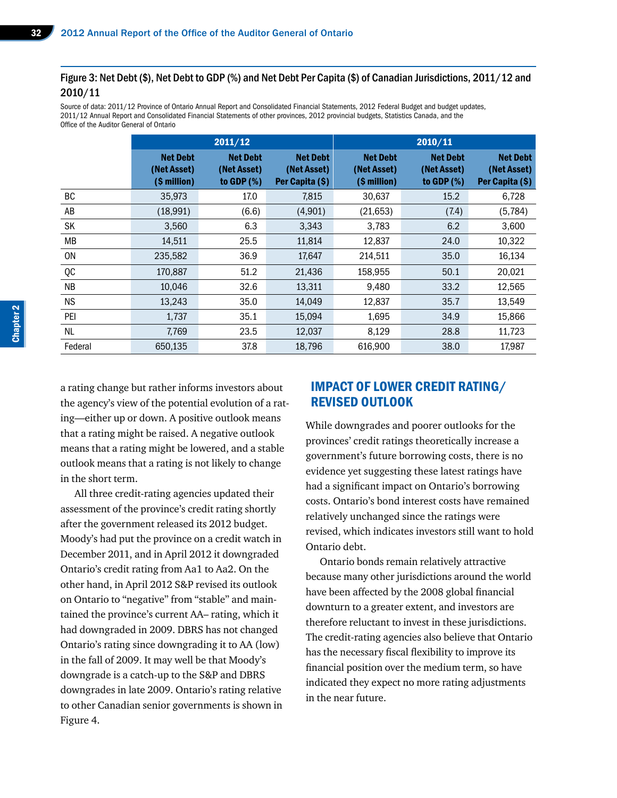#### Figure 3: Net Debt (\$), Net Debt to GDP (%) and Net Debt Per Capita (\$) of Canadian Jurisdictions, 2011/12 and 2010/11

Source of data: 2011/12 Province of Ontario Annual Report and Consolidated Financial Statements, 2012 Federal Budget and budget updates, 2011/12 Annual Report and Consolidated Financial Statements of other provinces, 2012 provincial budgets, Statistics Canada, and the Office of the Auditor General of Ontario

|           |                                                | 2011/12                                        |                                                   | 2010/11                                        |                                                |                                                   |  |
|-----------|------------------------------------------------|------------------------------------------------|---------------------------------------------------|------------------------------------------------|------------------------------------------------|---------------------------------------------------|--|
|           | <b>Net Debt</b><br>(Net Asset)<br>(\$ million) | <b>Net Debt</b><br>(Net Asset)<br>to GDP $(%)$ | <b>Net Debt</b><br>(Net Asset)<br>Per Capita (\$) | <b>Net Debt</b><br>(Net Asset)<br>(\$ million) | <b>Net Debt</b><br>(Net Asset)<br>to GDP $(%)$ | <b>Net Debt</b><br>(Net Asset)<br>Per Capita (\$) |  |
| BC        | 35,973                                         | 17.0                                           | 7,815                                             | 30,637                                         | 15.2                                           | 6,728                                             |  |
| AB        | (18,991)                                       | (6.6)                                          | (4,901)                                           | (21, 653)                                      | (7.4)                                          | (5, 784)                                          |  |
| SK        | 3,560                                          | 6.3                                            | 3,343                                             | 3,783                                          | 6.2                                            | 3,600                                             |  |
| МB        | 14,511                                         | 25.5                                           | 11,814                                            | 12,837                                         | 24.0                                           | 10,322                                            |  |
| <b>ON</b> | 235,582                                        | 36.9                                           | 17,647                                            | 214,511                                        | 35.0                                           | 16,134                                            |  |
| QC        | 170,887                                        | 51.2                                           | 21,436                                            | 158,955                                        | 50.1                                           | 20,021                                            |  |
| NB        | 10,046                                         | 32.6                                           | 13,311                                            | 9,480                                          | 33.2                                           | 12,565                                            |  |
| <b>NS</b> | 13,243                                         | 35.0                                           | 14,049                                            | 12,837                                         | 35.7                                           | 13,549                                            |  |
| PEI       | 1,737                                          | 35.1                                           | 15,094                                            | 1,695                                          | 34.9                                           | 15,866                                            |  |
| <b>NL</b> | 7,769                                          | 23.5                                           | 12,037                                            | 8,129                                          | 28.8                                           | 11,723                                            |  |
| Federal   | 650,135                                        | 37.8                                           | 18,796                                            | 616,900                                        | 38.0                                           | 17,987                                            |  |

a rating change but rather informs investors about the agency's view of the potential evolution of a rating—either up or down. A positive outlook means that a rating might be raised. A negative outlook means that a rating might be lowered, and a stable outlook means that a rating is not likely to change in the short term.

All three credit-rating agencies updated their assessment of the province's credit rating shortly after the government released its 2012 budget. Moody's had put the province on a credit watch in December 2011, and in April 2012 it downgraded Ontario's credit rating from Aa1 to Aa2. On the other hand, in April 2012 S&P revised its outlook on Ontario to "negative" from "stable" and maintained the province's current AA– rating, which it had downgraded in 2009. DBRS has not changed Ontario's rating since downgrading it to AA (low) in the fall of 2009. It may well be that Moody's downgrade is a catch-up to the S&P and DBRS downgrades in late 2009. Ontario's rating relative to other Canadian senior governments is shown in Figure 4.

#### IMPACT OF LOWER CREDIT RATING/ REVISED OUTLOOK

While downgrades and poorer outlooks for the provinces' credit ratings theoretically increase a government's future borrowing costs, there is no evidence yet suggesting these latest ratings have had a significant impact on Ontario's borrowing costs. Ontario's bond interest costs have remained relatively unchanged since the ratings were revised, which indicates investors still want to hold Ontario debt.

Ontario bonds remain relatively attractive because many other jurisdictions around the world have been affected by the 2008 global financial downturn to a greater extent, and investors are therefore reluctant to invest in these jurisdictions. The credit-rating agencies also believe that Ontario has the necessary fiscal flexibility to improve its financial position over the medium term, so have indicated they expect no more rating adjustments in the near future.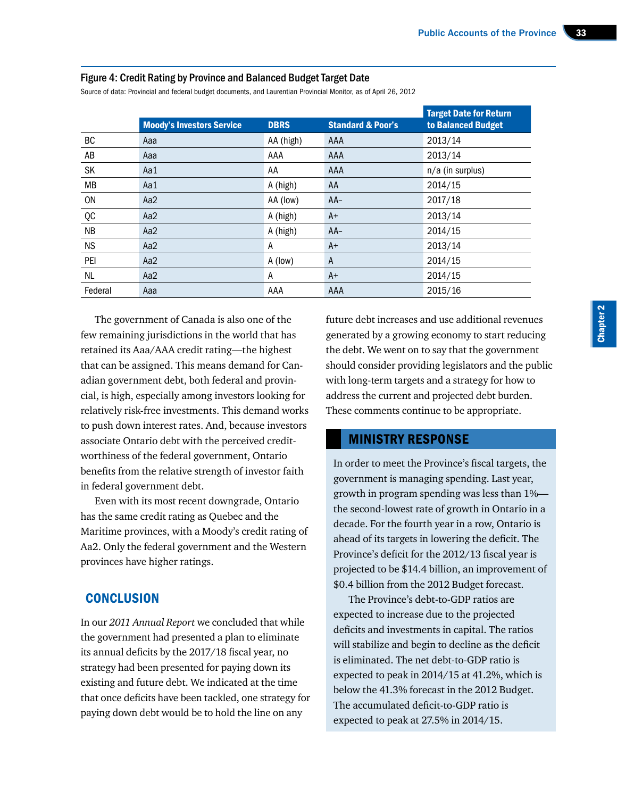#### Figure 4: Credit Rating by Province and Balanced Budget Target Date

Source of data: Provincial and federal budget documents, and Laurentian Provincial Monitor, as of April 26, 2012

|           |                                  |             |                              | <b>Target Date for Return</b> |
|-----------|----------------------------------|-------------|------------------------------|-------------------------------|
|           | <b>Moody's Investors Service</b> | <b>DBRS</b> | <b>Standard &amp; Poor's</b> | to Balanced Budget            |
| BC        | Aaa                              | AA (high)   | AAA                          | 2013/14                       |
| AB        | Aaa                              | AAA         | AAA                          | 2013/14                       |
| <b>SK</b> | Aa1                              | AA          | AAA                          | $n/a$ (in surplus)            |
| МB        | Aa1                              | A (high)    | AA                           | 2014/15                       |
| <b>ON</b> | Aa2                              | AA (low)    | $AA-$                        | 2017/18                       |
| QC        | Aa2                              | A (high)    | $A+$                         | 2013/14                       |
| <b>NB</b> | Aa2                              | A (high)    | $AA-$                        | 2014/15                       |
| <b>NS</b> | Aa2                              | A           | $A+$                         | 2013/14                       |
| PEI       | Aa2                              | A (low)     | A                            | 2014/15                       |
| <b>NL</b> | Aa2                              | A           | $A+$                         | 2014/15                       |
| Federal   | Aaa                              | AAA         | AAA                          | 2015/16                       |

The government of Canada is also one of the few remaining jurisdictions in the world that has retained its Aaa/AAA credit rating—the highest that can be assigned. This means demand for Canadian government debt, both federal and provincial, is high, especially among investors looking for relatively risk-free investments. This demand works to push down interest rates. And, because investors associate Ontario debt with the perceived creditworthiness of the federal government, Ontario benefits from the relative strength of investor faith in federal government debt.

Even with its most recent downgrade, Ontario has the same credit rating as Quebec and the Maritime provinces, with a Moody's credit rating of Aa2. Only the federal government and the Western provinces have higher ratings.

#### **CONCLUSION**

In our *2011 Annual Report* we concluded that while the government had presented a plan to eliminate its annual deficits by the 2017/18 fiscal year, no strategy had been presented for paying down its existing and future debt. We indicated at the time that once deficits have been tackled, one strategy for paying down debt would be to hold the line on any

future debt increases and use additional revenues generated by a growing economy to start reducing the debt. We went on to say that the government should consider providing legislators and the public with long-term targets and a strategy for how to address the current and projected debt burden. These comments continue to be appropriate.

## MINISTRY RESPONSE

In order to meet the Province's fiscal targets, the government is managing spending. Last year, growth in program spending was less than 1% the second-lowest rate of growth in Ontario in a decade. For the fourth year in a row, Ontario is ahead of its targets in lowering the deficit. The Province's deficit for the 2012/13 fiscal year is projected to be \$14.4 billion, an improvement of \$0.4 billion from the 2012 Budget forecast.

The Province's debt-to-GDP ratios are expected to increase due to the projected deficits and investments in capital. The ratios will stabilize and begin to decline as the deficit is eliminated. The net debt-to-GDP ratio is expected to peak in 2014/15 at 41.2%, which is below the 41.3% forecast in the 2012 Budget. The accumulated deficit-to-GDP ratio is expected to peak at 27.5% in 2014/15.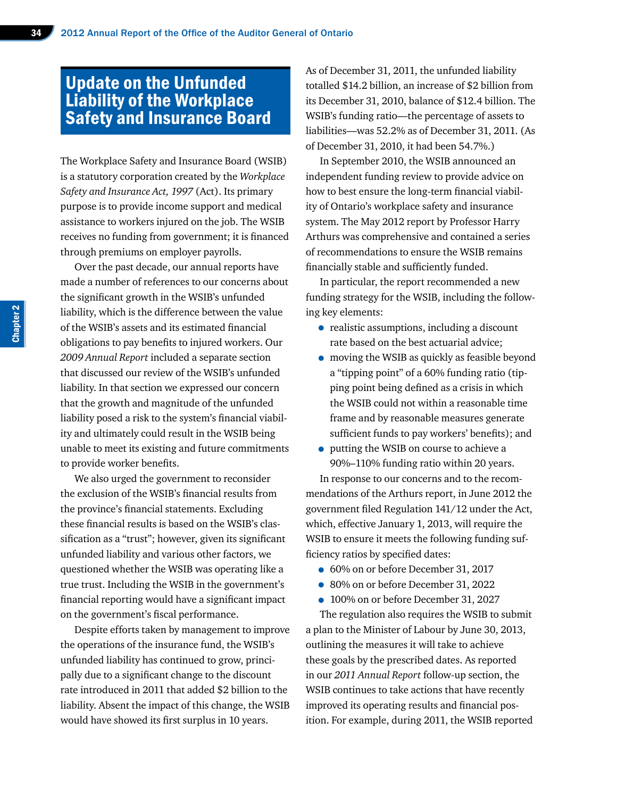## Update on the Unfunded Liability of the Workplace Safety and Insurance Board

The Workplace Safety and Insurance Board (WSIB) is a statutory corporation created by the *Workplace Safety and Insurance Act, 1997* (Act). Its primary purpose is to provide income support and medical assistance to workers injured on the job. The WSIB receives no funding from government; it is financed through premiums on employer payrolls.

Over the past decade, our annual reports have made a number of references to our concerns about the significant growth in the WSIB's unfunded liability, which is the difference between the value of the WSIB's assets and its estimated financial obligations to pay benefits to injured workers. Our *2009 Annual Report* included a separate section that discussed our review of the WSIB's unfunded liability. In that section we expressed our concern that the growth and magnitude of the unfunded liability posed a risk to the system's financial viability and ultimately could result in the WSIB being unable to meet its existing and future commitments to provide worker benefits.

We also urged the government to reconsider the exclusion of the WSIB's financial results from the province's financial statements. Excluding these financial results is based on the WSIB's classification as a "trust"; however, given its significant unfunded liability and various other factors, we questioned whether the WSIB was operating like a true trust. Including the WSIB in the government's financial reporting would have a significant impact on the government's fiscal performance.

Despite efforts taken by management to improve the operations of the insurance fund, the WSIB's unfunded liability has continued to grow, principally due to a significant change to the discount rate introduced in 2011 that added \$2 billion to the liability. Absent the impact of this change, the WSIB would have showed its first surplus in 10 years.

As of December 31, 2011, the unfunded liability totalled \$14.2 billion, an increase of \$2 billion from its December 31, 2010, balance of \$12.4 billion. The WSIB's funding ratio—the percentage of assets to liabilities—was 52.2% as of December 31, 2011. (As of December 31, 2010, it had been 54.7%.)

In September 2010, the WSIB announced an independent funding review to provide advice on how to best ensure the long-term financial viability of Ontario's workplace safety and insurance system. The May 2012 report by Professor Harry Arthurs was comprehensive and contained a series of recommendations to ensure the WSIB remains financially stable and sufficiently funded.

In particular, the report recommended a new funding strategy for the WSIB, including the following key elements:

- realistic assumptions, including a discount rate based on the best actuarial advice;
- moving the WSIB as quickly as feasible beyond a "tipping point" of a 60% funding ratio (tipping point being defined as a crisis in which the WSIB could not within a reasonable time frame and by reasonable measures generate sufficient funds to pay workers' benefits); and
- putting the WSIB on course to achieve a 90%–110% funding ratio within 20 years.

In response to our concerns and to the recommendations of the Arthurs report, in June 2012 the government filed Regulation 141/12 under the Act, which, effective January 1, 2013, will require the WSIB to ensure it meets the following funding sufficiency ratios by specified dates:

- 60% on or before December 31, 2017
- 80% on or before December 31, 2022
- 100% on or before December 31, 2027

The regulation also requires the WSIB to submit a plan to the Minister of Labour by June 30, 2013, outlining the measures it will take to achieve these goals by the prescribed dates. As reported in our *2011 Annual Report* follow-up section, the WSIB continues to take actions that have recently improved its operating results and financial position. For example, during 2011, the WSIB reported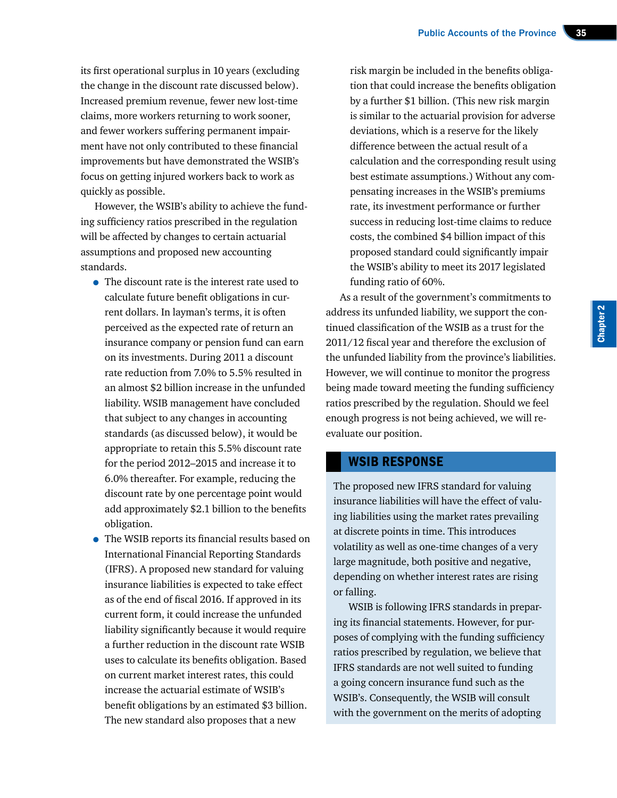its first operational surplus in 10 years (excluding the change in the discount rate discussed below). Increased premium revenue, fewer new lost-time claims, more workers returning to work sooner, and fewer workers suffering permanent impairment have not only contributed to these financial improvements but have demonstrated the WSIB's focus on getting injured workers back to work as quickly as possible.

However, the WSIB's ability to achieve the funding sufficiency ratios prescribed in the regulation will be affected by changes to certain actuarial assumptions and proposed new accounting standards.

- The discount rate is the interest rate used to calculate future benefit obligations in current dollars. In layman's terms, it is often perceived as the expected rate of return an insurance company or pension fund can earn on its investments. During 2011 a discount rate reduction from 7.0% to 5.5% resulted in an almost \$2 billion increase in the unfunded liability. WSIB management have concluded that subject to any changes in accounting standards (as discussed below), it would be appropriate to retain this 5.5% discount rate for the period 2012–2015 and increase it to 6.0% thereafter. For example, reducing the discount rate by one percentage point would add approximately \$2.1 billion to the benefits obligation.
- The WSIB reports its financial results based on International Financial Reporting Standards (IFRS). A proposed new standard for valuing insurance liabilities is expected to take effect as of the end of fiscal 2016. If approved in its current form, it could increase the unfunded liability significantly because it would require a further reduction in the discount rate WSIB uses to calculate its benefits obligation. Based on current market interest rates, this could increase the actuarial estimate of WSIB's benefit obligations by an estimated \$3 billion. The new standard also proposes that a new

risk margin be included in the benefits obligation that could increase the benefits obligation by a further \$1 billion. (This new risk margin is similar to the actuarial provision for adverse deviations, which is a reserve for the likely difference between the actual result of a calculation and the corresponding result using best estimate assumptions.) Without any compensating increases in the WSIB's premiums rate, its investment performance or further success in reducing lost-time claims to reduce costs, the combined \$4 billion impact of this proposed standard could significantly impair the WSIB's ability to meet its 2017 legislated funding ratio of 60%.

As a result of the government's commitments to address its unfunded liability, we support the continued classification of the WSIB as a trust for the 2011/12 fiscal year and therefore the exclusion of the unfunded liability from the province's liabilities. However, we will continue to monitor the progress being made toward meeting the funding sufficiency ratios prescribed by the regulation. Should we feel enough progress is not being achieved, we will reevaluate our position.

#### WSIB RESPONSE

The proposed new IFRS standard for valuing insurance liabilities will have the effect of valuing liabilities using the market rates prevailing at discrete points in time. This introduces volatility as well as one-time changes of a very large magnitude, both positive and negative, depending on whether interest rates are rising or falling.

WSIB is following IFRS standards in preparing its financial statements. However, for purposes of complying with the funding sufficiency ratios prescribed by regulation, we believe that IFRS standards are not well suited to funding a going concern insurance fund such as the WSIB's. Consequently, the WSIB will consult with the government on the merits of adopting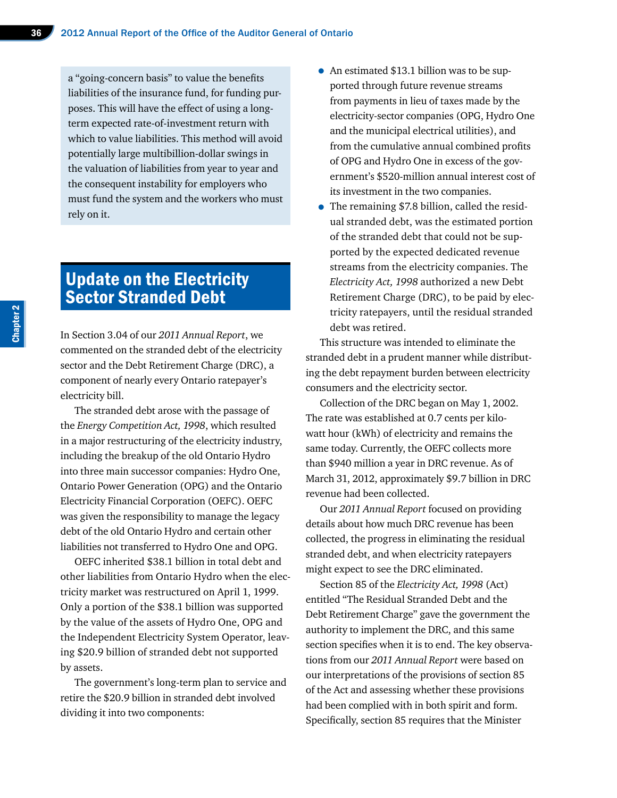a "going-concern basis" to value the benefits liabilities of the insurance fund, for funding purposes. This will have the effect of using a longterm expected rate-of-investment return with which to value liabilities. This method will avoid potentially large multibillion-dollar swings in the valuation of liabilities from year to year and the consequent instability for employers who must fund the system and the workers who must rely on it.

## Update on the Electricity Sector Stranded Debt

In Section 3.04 of our *2011 Annual Report*, we commented on the stranded debt of the electricity sector and the Debt Retirement Charge (DRC), a component of nearly every Ontario ratepayer's electricity bill.

The stranded debt arose with the passage of the *Energy Competition Act, 1998*, which resulted in a major restructuring of the electricity industry, including the breakup of the old Ontario Hydro into three main successor companies: Hydro One, Ontario Power Generation (OPG) and the Ontario Electricity Financial Corporation (OEFC). OEFC was given the responsibility to manage the legacy debt of the old Ontario Hydro and certain other liabilities not transferred to Hydro One and OPG.

OEFC inherited \$38.1 billion in total debt and other liabilities from Ontario Hydro when the electricity market was restructured on April 1, 1999. Only a portion of the \$38.1 billion was supported by the value of the assets of Hydro One, OPG and the Independent Electricity System Operator, leaving \$20.9 billion of stranded debt not supported by assets.

The government's long-term plan to service and retire the \$20.9 billion in stranded debt involved dividing it into two components:

- An estimated \$13.1 billion was to be supported through future revenue streams from payments in lieu of taxes made by the electricity-sector companies (OPG, Hydro One and the municipal electrical utilities), and from the cumulative annual combined profits of OPG and Hydro One in excess of the government's \$520-million annual interest cost of its investment in the two companies.
- The remaining \$7.8 billion, called the residual stranded debt, was the estimated portion of the stranded debt that could not be supported by the expected dedicated revenue streams from the electricity companies. The *Electricity Act, 1998* authorized a new Debt Retirement Charge (DRC), to be paid by electricity ratepayers, until the residual stranded debt was retired.

This structure was intended to eliminate the stranded debt in a prudent manner while distributing the debt repayment burden between electricity consumers and the electricity sector.

Collection of the DRC began on May 1, 2002. The rate was established at 0.7 cents per kilowatt hour (kWh) of electricity and remains the same today. Currently, the OEFC collects more than \$940 million a year in DRC revenue. As of March 31, 2012, approximately \$9.7 billion in DRC revenue had been collected.

Our *2011 Annual Report* focused on providing details about how much DRC revenue has been collected, the progress in eliminating the residual stranded debt, and when electricity ratepayers might expect to see the DRC eliminated.

Section 85 of the *Electricity Act, 1998* (Act) entitled "The Residual Stranded Debt and the Debt Retirement Charge" gave the government the authority to implement the DRC, and this same section specifies when it is to end. The key observations from our *2011 Annual Report* were based on our interpretations of the provisions of section 85 of the Act and assessing whether these provisions had been complied with in both spirit and form. Specifically, section 85 requires that the Minister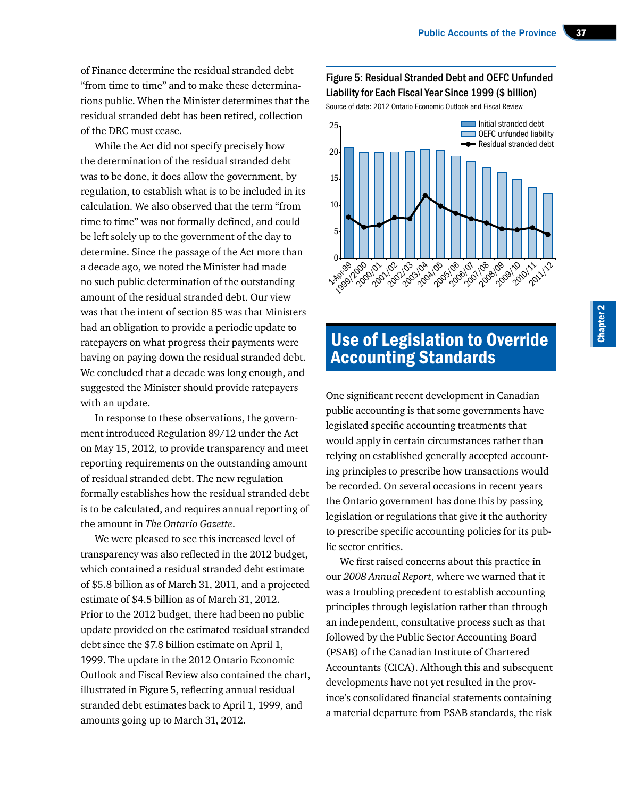of Finance determine the residual stranded debt "from time to time" and to make these determinations public. When the Minister determines that the residual stranded debt has been retired, collection of the DRC must cease.

While the Act did not specify precisely how the determination of the residual stranded debt was to be done, it does allow the government, by regulation, to establish what is to be included in its calculation. We also observed that the term "from time to time" was not formally defined, and could be left solely up to the government of the day to determine. Since the passage of the Act more than a decade ago, we noted the Minister had made no such public determination of the outstanding amount of the residual stranded debt. Our view was that the intent of section 85 was that Ministers had an obligation to provide a periodic update to ratepayers on what progress their payments were having on paying down the residual stranded debt. We concluded that a decade was long enough, and suggested the Minister should provide ratepayers with an update.

In response to these observations, the government introduced Regulation 89/12 under the Act on May 15, 2012, to provide transparency and meet reporting requirements on the outstanding amount of residual stranded debt. The new regulation formally establishes how the residual stranded debt is to be calculated, and requires annual reporting of the amount in *The Ontario Gazette*.

We were pleased to see this increased level of transparency was also reflected in the 2012 budget, which contained a residual stranded debt estimate of \$5.8 billion as of March 31, 2011, and a projected estimate of \$4.5 billion as of March 31, 2012. Prior to the 2012 budget, there had been no public update provided on the estimated residual stranded debt since the \$7.8 billion estimate on April 1, 1999. The update in the 2012 Ontario Economic Outlook and Fiscal Review also contained the chart, illustrated in Figure 5, reflecting annual residual stranded debt estimates back to April 1, 1999, and amounts going up to March 31, 2012.

#### Figure 5: Residual Stranded Debt and OEFC Unfunded Liability for Each Fiscal Year Since 1999 (\$ billion)

Source of data: 2012 Ontario Economic Outlook and Fiscal Review



## Use of Legislation to Override Accounting Standards

One significant recent development in Canadian public accounting is that some governments have legislated specific accounting treatments that would apply in certain circumstances rather than relying on established generally accepted accounting principles to prescribe how transactions would be recorded. On several occasions in recent years the Ontario government has done this by passing legislation or regulations that give it the authority to prescribe specific accounting policies for its public sector entities.

We first raised concerns about this practice in our *2008 Annual Report*, where we warned that it was a troubling precedent to establish accounting principles through legislation rather than through an independent, consultative process such as that followed by the Public Sector Accounting Board (PSAB) of the Canadian Institute of Chartered Accountants (CICA). Although this and subsequent developments have not yet resulted in the province's consolidated financial statements containing a material departure from PSAB standards, the risk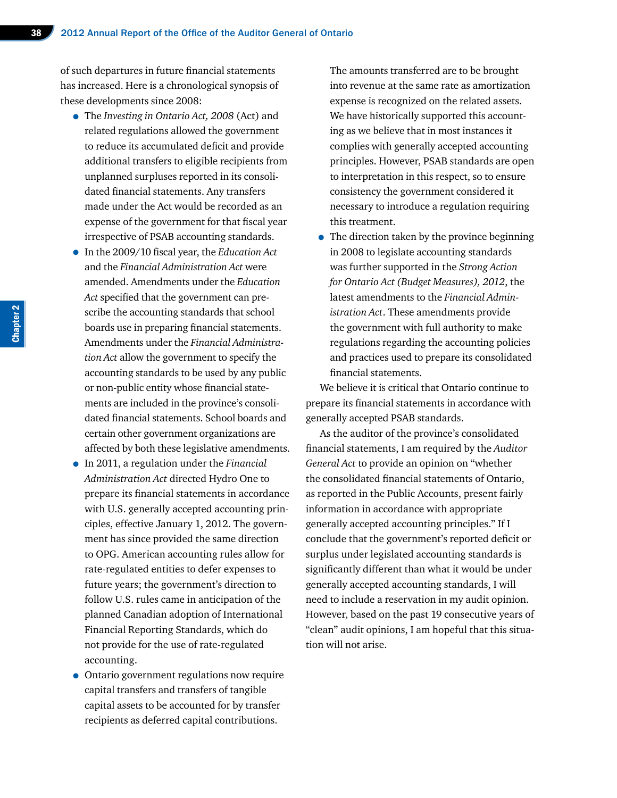of such departures in future financial statements has increased. Here is a chronological synopsis of these developments since 2008:

- The *Investing in Ontario Act, 2008* (Act) and related regulations allowed the government to reduce its accumulated deficit and provide additional transfers to eligible recipients from unplanned surpluses reported in its consolidated financial statements. Any transfers made under the Act would be recorded as an expense of the government for that fiscal year irrespective of PSAB accounting standards.
- In the 2009/10 fiscal year, the *Education Act* and the *Financial Administration Act* were amended. Amendments under the *Education Act* specified that the government can prescribe the accounting standards that school boards use in preparing financial statements. Amendments under the *Financial Administration Act* allow the government to specify the accounting standards to be used by any public or non-public entity whose financial statements are included in the province's consolidated financial statements. School boards and certain other government organizations are affected by both these legislative amendments.
- In 2011, a regulation under the *Financial Administration Act* directed Hydro One to prepare its financial statements in accordance with U.S. generally accepted accounting principles, effective January 1, 2012. The government has since provided the same direction to OPG. American accounting rules allow for rate-regulated entities to defer expenses to future years; the government's direction to follow U.S. rules came in anticipation of the planned Canadian adoption of International Financial Reporting Standards, which do not provide for the use of rate-regulated accounting.
- Ontario government regulations now require capital transfers and transfers of tangible capital assets to be accounted for by transfer recipients as deferred capital contributions.

The amounts transferred are to be brought into revenue at the same rate as amortization expense is recognized on the related assets. We have historically supported this accounting as we believe that in most instances it complies with generally accepted accounting principles. However, PSAB standards are open to interpretation in this respect, so to ensure consistency the government considered it necessary to introduce a regulation requiring this treatment.

• The direction taken by the province beginning in 2008 to legislate accounting standards was further supported in the *Strong Action for Ontario Act (Budget Measures), 2012*, the latest amendments to the *Financial Administration Act*. These amendments provide the government with full authority to make regulations regarding the accounting policies and practices used to prepare its consolidated financial statements.

We believe it is critical that Ontario continue to prepare its financial statements in accordance with generally accepted PSAB standards.

As the auditor of the province's consolidated financial statements, I am required by the *Auditor General Act* to provide an opinion on "whether the consolidated financial statements of Ontario, as reported in the Public Accounts, present fairly information in accordance with appropriate generally accepted accounting principles." If I conclude that the government's reported deficit or surplus under legislated accounting standards is significantly different than what it would be under generally accepted accounting standards, I will need to include a reservation in my audit opinion. However, based on the past 19 consecutive years of "clean" audit opinions, I am hopeful that this situation will not arise.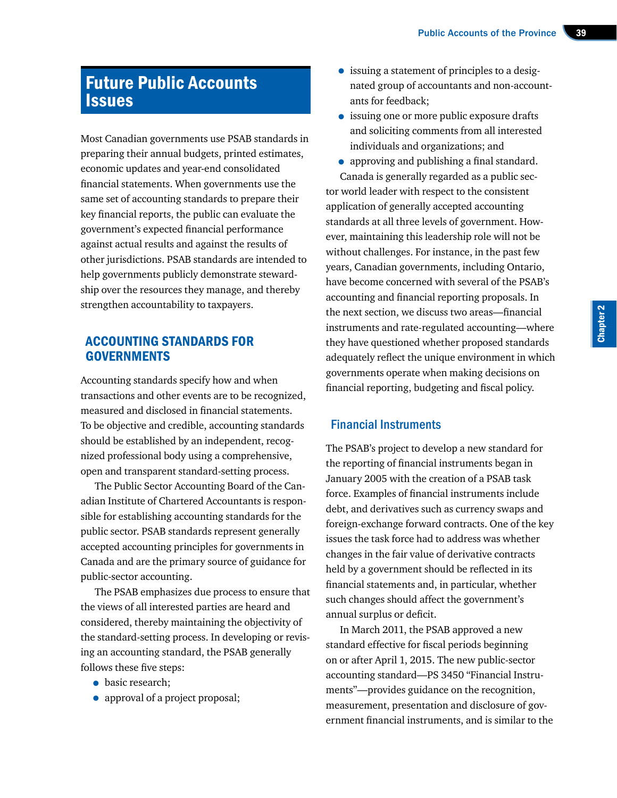# Future Public Accounts **Issues**

Most Canadian governments use PSAB standards in preparing their annual budgets, printed estimates, economic updates and year-end consolidated financial statements. When governments use the same set of accounting standards to prepare their key financial reports, the public can evaluate the government's expected financial performance against actual results and against the results of other jurisdictions. PSAB standards are intended to help governments publicly demonstrate stewardship over the resources they manage, and thereby strengthen accountability to taxpayers.

## ACCOUNTING STANDARDS FOR **GOVERNMENTS**

Accounting standards specify how and when transactions and other events are to be recognized, measured and disclosed in financial statements. To be objective and credible, accounting standards should be established by an independent, recognized professional body using a comprehensive, open and transparent standard-setting process.

The Public Sector Accounting Board of the Canadian Institute of Chartered Accountants is responsible for establishing accounting standards for the public sector. PSAB standards represent generally accepted accounting principles for governments in Canada and are the primary source of guidance for public-sector accounting.

The PSAB emphasizes due process to ensure that the views of all interested parties are heard and considered, thereby maintaining the objectivity of the standard-setting process. In developing or revising an accounting standard, the PSAB generally follows these five steps:

- basic research;
- approval of a project proposal;
- issuing a statement of principles to a designated group of accountants and non-accountants for feedback;
- issuing one or more public exposure drafts and soliciting comments from all interested individuals and organizations; and
- approving and publishing a final standard. Canada is generally regarded as a public sector world leader with respect to the consistent application of generally accepted accounting standards at all three levels of government. However, maintaining this leadership role will not be without challenges. For instance, in the past few years, Canadian governments, including Ontario, have become concerned with several of the PSAB's accounting and financial reporting proposals. In the next section, we discuss two areas—financial instruments and rate-regulated accounting—where they have questioned whether proposed standards adequately reflect the unique environment in which governments operate when making decisions on financial reporting, budgeting and fiscal policy.

#### Financial Instruments

The PSAB's project to develop a new standard for the reporting of financial instruments began in January 2005 with the creation of a PSAB task force. Examples of financial instruments include debt, and derivatives such as currency swaps and foreign-exchange forward contracts. One of the key issues the task force had to address was whether changes in the fair value of derivative contracts held by a government should be reflected in its financial statements and, in particular, whether such changes should affect the government's annual surplus or deficit.

In March 2011, the PSAB approved a new standard effective for fiscal periods beginning on or after April 1, 2015. The new public-sector accounting standard—PS 3450 "Financial Instruments"—provides guidance on the recognition, measurement, presentation and disclosure of government financial instruments, and is similar to the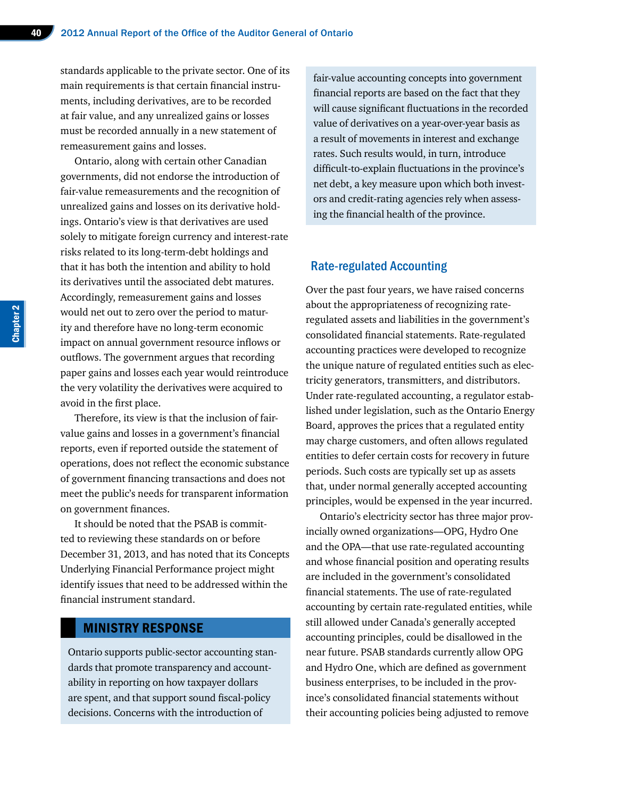standards applicable to the private sector. One of its main requirements is that certain financial instruments, including derivatives, are to be recorded at fair value, and any unrealized gains or losses must be recorded annually in a new statement of remeasurement gains and losses.

Ontario, along with certain other Canadian governments, did not endorse the introduction of fair-value remeasurements and the recognition of unrealized gains and losses on its derivative holdings. Ontario's view is that derivatives are used solely to mitigate foreign currency and interest-rate risks related to its long-term-debt holdings and that it has both the intention and ability to hold its derivatives until the associated debt matures. Accordingly, remeasurement gains and losses would net out to zero over the period to maturity and therefore have no long-term economic impact on annual government resource inflows or outflows. The government argues that recording paper gains and losses each year would reintroduce the very volatility the derivatives were acquired to avoid in the first place.

Therefore, its view is that the inclusion of fairvalue gains and losses in a government's financial reports, even if reported outside the statement of operations, does not reflect the economic substance of government financing transactions and does not meet the public's needs for transparent information on government finances.

It should be noted that the PSAB is committed to reviewing these standards on or before December 31, 2013, and has noted that its Concepts Underlying Financial Performance project might identify issues that need to be addressed within the financial instrument standard.

#### MINISTRY RESPONSE

Ontario supports public-sector accounting standards that promote transparency and accountability in reporting on how taxpayer dollars are spent, and that support sound fiscal-policy decisions. Concerns with the introduction of

fair-value accounting concepts into government financial reports are based on the fact that they will cause significant fluctuations in the recorded value of derivatives on a year-over-year basis as a result of movements in interest and exchange rates. Such results would, in turn, introduce difficult-to-explain fluctuations in the province's net debt, a key measure upon which both investors and credit-rating agencies rely when assessing the financial health of the province.

#### Rate-regulated Accounting

Over the past four years, we have raised concerns about the appropriateness of recognizing rateregulated assets and liabilities in the government's consolidated financial statements. Rate-regulated accounting practices were developed to recognize the unique nature of regulated entities such as electricity generators, transmitters, and distributors. Under rate-regulated accounting, a regulator established under legislation, such as the Ontario Energy Board, approves the prices that a regulated entity may charge customers, and often allows regulated entities to defer certain costs for recovery in future periods. Such costs are typically set up as assets that, under normal generally accepted accounting principles, would be expensed in the year incurred.

Ontario's electricity sector has three major provincially owned organizations—OPG, Hydro One and the OPA—that use rate-regulated accounting and whose financial position and operating results are included in the government's consolidated financial statements. The use of rate-regulated accounting by certain rate-regulated entities, while still allowed under Canada's generally accepted accounting principles, could be disallowed in the near future. PSAB standards currently allow OPG and Hydro One, which are defined as government business enterprises, to be included in the province's consolidated financial statements without their accounting policies being adjusted to remove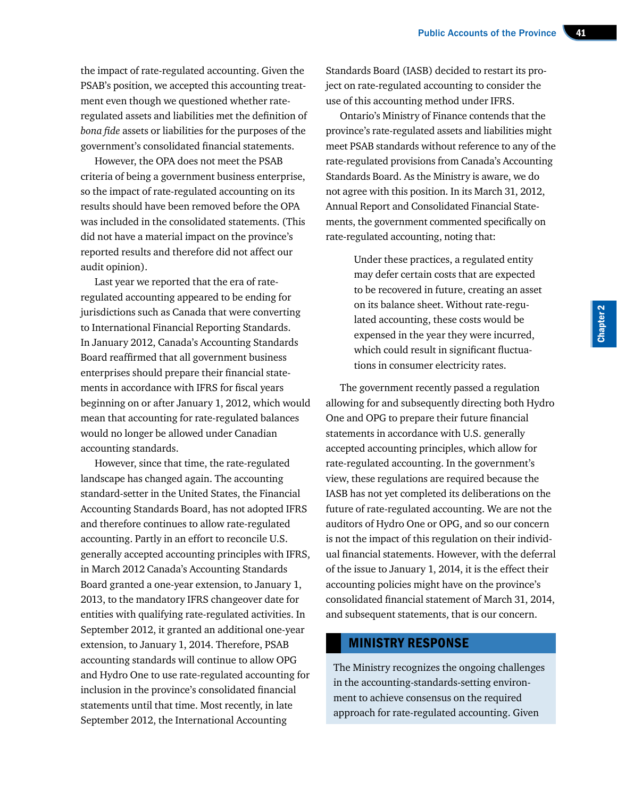the impact of rate-regulated accounting. Given the PSAB's position, we accepted this accounting treatment even though we questioned whether rateregulated assets and liabilities met the definition of *bona fide* assets or liabilities for the purposes of the government's consolidated financial statements.

However, the OPA does not meet the PSAB criteria of being a government business enterprise, so the impact of rate-regulated accounting on its results should have been removed before the OPA was included in the consolidated statements. (This did not have a material impact on the province's reported results and therefore did not affect our audit opinion).

Last year we reported that the era of rateregulated accounting appeared to be ending for jurisdictions such as Canada that were converting to International Financial Reporting Standards. In January 2012, Canada's Accounting Standards Board reaffirmed that all government business enterprises should prepare their financial statements in accordance with IFRS for fiscal years beginning on or after January 1, 2012, which would mean that accounting for rate-regulated balances would no longer be allowed under Canadian accounting standards.

However, since that time, the rate-regulated landscape has changed again. The accounting standard-setter in the United States, the Financial Accounting Standards Board, has not adopted IFRS and therefore continues to allow rate-regulated accounting. Partly in an effort to reconcile U.S. generally accepted accounting principles with IFRS, in March 2012 Canada's Accounting Standards Board granted a one-year extension, to January 1, 2013, to the mandatory IFRS changeover date for entities with qualifying rate-regulated activities. In September 2012, it granted an additional one-year extension, to January 1, 2014. Therefore, PSAB accounting standards will continue to allow OPG and Hydro One to use rate-regulated accounting for inclusion in the province's consolidated financial statements until that time. Most recently, in late September 2012, the International Accounting

Standards Board (IASB) decided to restart its project on rate-regulated accounting to consider the use of this accounting method under IFRS.

Ontario's Ministry of Finance contends that the province's rate-regulated assets and liabilities might meet PSAB standards without reference to any of the rate-regulated provisions from Canada's Accounting Standards Board. As the Ministry is aware, we do not agree with this position. In its March 31, 2012, Annual Report and Consolidated Financial Statements, the government commented specifically on rate-regulated accounting, noting that:

> Under these practices, a regulated entity may defer certain costs that are expected to be recovered in future, creating an asset on its balance sheet. Without rate-regulated accounting, these costs would be expensed in the year they were incurred, which could result in significant fluctuations in consumer electricity rates.

The government recently passed a regulation allowing for and subsequently directing both Hydro One and OPG to prepare their future financial statements in accordance with U.S. generally accepted accounting principles, which allow for rate-regulated accounting. In the government's view, these regulations are required because the IASB has not yet completed its deliberations on the future of rate-regulated accounting. We are not the auditors of Hydro One or OPG, and so our concern is not the impact of this regulation on their individual financial statements. However, with the deferral of the issue to January 1, 2014, it is the effect their accounting policies might have on the province's consolidated financial statement of March 31, 2014, and subsequent statements, that is our concern.

#### MINISTRY RESPONSE

The Ministry recognizes the ongoing challenges in the accounting-standards-setting environment to achieve consensus on the required approach for rate-regulated accounting. Given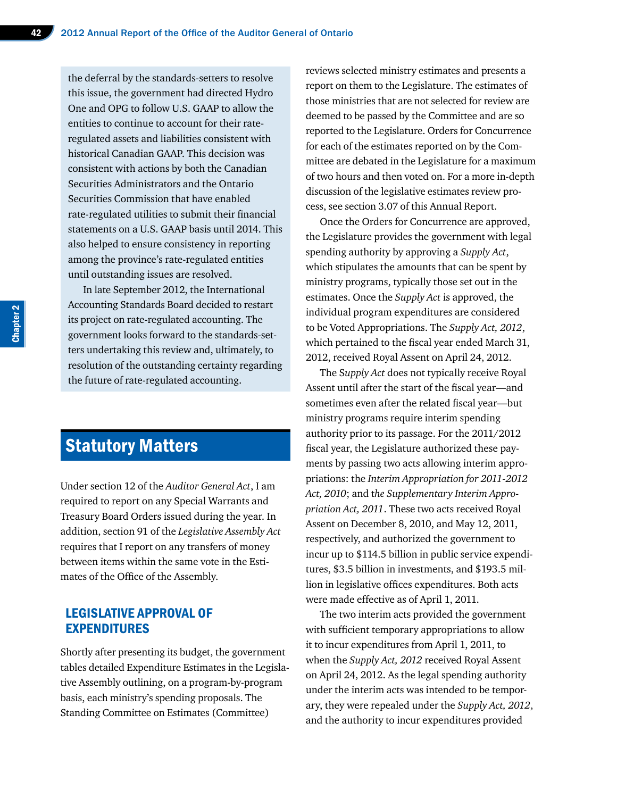the deferral by the standards-setters to resolve this issue, the government had directed Hydro One and OPG to follow U.S. GAAP to allow the entities to continue to account for their rateregulated assets and liabilities consistent with historical Canadian GAAP. This decision was consistent with actions by both the Canadian Securities Administrators and the Ontario Securities Commission that have enabled rate-regulated utilities to submit their financial statements on a U.S. GAAP basis until 2014. This also helped to ensure consistency in reporting among the province's rate-regulated entities until outstanding issues are resolved.

In late September 2012, the International Accounting Standards Board decided to restart its project on rate-regulated accounting. The government looks forward to the standards-setters undertaking this review and, ultimately, to resolution of the outstanding certainty regarding the future of rate-regulated accounting.

# Statutory Matters

Under section 12 of the *Auditor General Act*, I am required to report on any Special Warrants and Treasury Board Orders issued during the year. In addition, section 91 of the *Legislative Assembly Act* requires that I report on any transfers of money between items within the same vote in the Estimates of the Office of the Assembly.

#### LEGISLATIVE APPROVAL OF EXPENDITURES

Shortly after presenting its budget, the government tables detailed Expenditure Estimates in the Legislative Assembly outlining, on a program-by-program basis, each ministry's spending proposals. The Standing Committee on Estimates (Committee)

reviews selected ministry estimates and presents a report on them to the Legislature. The estimates of those ministries that are not selected for review are deemed to be passed by the Committee and are so reported to the Legislature. Orders for Concurrence for each of the estimates reported on by the Committee are debated in the Legislature for a maximum of two hours and then voted on. For a more in-depth discussion of the legislative estimates review process, see section 3.07 of this Annual Report.

Once the Orders for Concurrence are approved, the Legislature provides the government with legal spending authority by approving a *Supply Act*, which stipulates the amounts that can be spent by ministry programs, typically those set out in the estimates. Once the *Supply Act* is approved, the individual program expenditures are considered to be Voted Appropriations. The *Supply Act, 2012*, which pertained to the fiscal year ended March 31, 2012, received Royal Assent on April 24, 2012.

The S*upply Act* does not typically receive Royal Assent until after the start of the fiscal year—and sometimes even after the related fiscal year—but ministry programs require interim spending authority prior to its passage. For the 2011/2012 fiscal year, the Legislature authorized these payments by passing two acts allowing interim appropriations: the *Interim Appropriation for 2011-2012 Act, 2010*; and t*he Supplementary Interim Appropriation Act, 2011*. These two acts received Royal Assent on December 8, 2010, and May 12, 2011, respectively, and authorized the government to incur up to \$114.5 billion in public service expenditures, \$3.5 billion in investments, and \$193.5 million in legislative offices expenditures. Both acts were made effective as of April 1, 2011.

The two interim acts provided the government with sufficient temporary appropriations to allow it to incur expenditures from April 1, 2011, to when the *Supply Act, 2012* received Royal Assent on April 24, 2012. As the legal spending authority under the interim acts was intended to be temporary, they were repealed under the *Supply Act, 2012*, and the authority to incur expenditures provided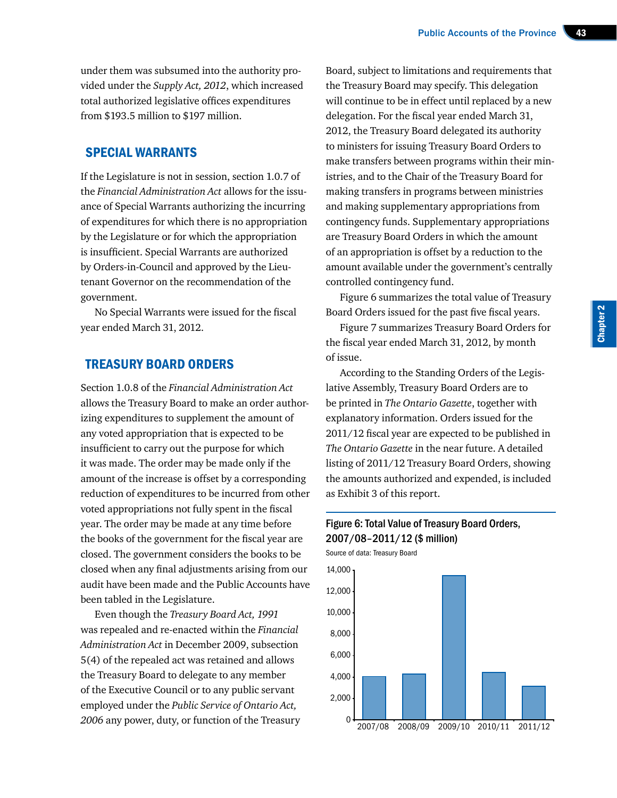under them was subsumed into the authority provided under the *Supply Act, 2012*, which increased total authorized legislative offices expenditures from \$193.5 million to \$197 million.

#### SPECIAL WARRANTS

If the Legislature is not in session, section 1.0.7 of the *Financial Administration Act* allows for the issuance of Special Warrants authorizing the incurring of expenditures for which there is no appropriation by the Legislature or for which the appropriation is insufficient. Special Warrants are authorized by Orders-in-Council and approved by the Lieutenant Governor on the recommendation of the government.

No Special Warrants were issued for the fiscal year ended March 31, 2012.

#### TREASURY BOARD ORDERS

Section 1.0.8 of the *Financial Administration Act* allows the Treasury Board to make an order authorizing expenditures to supplement the amount of any voted appropriation that is expected to be insufficient to carry out the purpose for which it was made. The order may be made only if the amount of the increase is offset by a corresponding reduction of expenditures to be incurred from other voted appropriations not fully spent in the fiscal year. The order may be made at any time before the books of the government for the fiscal year are closed. The government considers the books to be closed when any final adjustments arising from our audit have been made and the Public Accounts have been tabled in the Legislature.

Even though the *Treasury Board Act, 1991* was repealed and re-enacted within the *Financial Administration Act* in December 2009, subsection 5(4) of the repealed act was retained and allows the Treasury Board to delegate to any member of the Executive Council or to any public servant employed under the *Public Service of Ontario Act, 2006* any power, duty, or function of the Treasury

Board, subject to limitations and requirements that the Treasury Board may specify. This delegation will continue to be in effect until replaced by a new delegation. For the fiscal year ended March 31, 2012, the Treasury Board delegated its authority to ministers for issuing Treasury Board Orders to make transfers between programs within their ministries, and to the Chair of the Treasury Board for making transfers in programs between ministries and making supplementary appropriations from contingency funds. Supplementary appropriations are Treasury Board Orders in which the amount of an appropriation is offset by a reduction to the amount available under the government's centrally controlled contingency fund.

Figure 6 summarizes the total value of Treasury Board Orders issued for the past five fiscal years.

Figure 7 summarizes Treasury Board Orders for the fiscal year ended March 31, 2012, by month of issue.

According to the Standing Orders of the Legislative Assembly, Treasury Board Orders are to be printed in *The Ontario Gazette*, together with explanatory information. Orders issued for the 2011/12 fiscal year are expected to be published in *The Ontario Gazette* in the near future. A detailed listing of 2011/12 Treasury Board Orders, showing the amounts authorized and expended, is included as Exhibit 3 of this report.

## Figure 6: Total Value of Treasury Board Orders, 2007/08–2011/12 (\$ million)